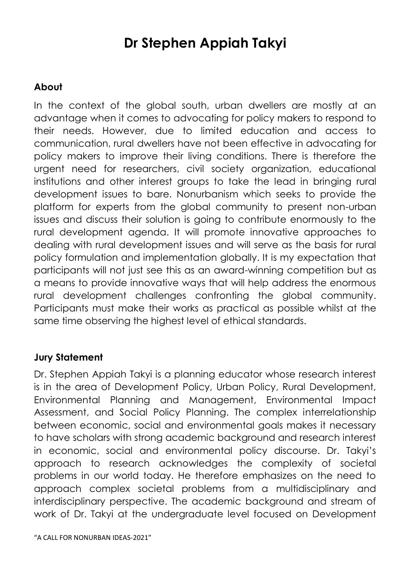## **Dr Stephen Appiah Takyi**

## **About**

In the context of the global south, urban dwellers are mostly at an advantage when it comes to advocating for policy makers to respond to their needs. However, due to limited education and access to communication, rural dwellers have not been effective in advocating for policy makers to improve their living conditions. There is therefore the urgent need for researchers, civil society organization, educational institutions and other interest groups to take the lead in bringing rural development issues to bare. Nonurbanism which seeks to provide the platform for experts from the global community to present non-urban issues and discuss their solution is going to contribute enormously to the rural development agenda. It will promote innovative approaches to dealing with rural development issues and will serve as the basis for rural policy formulation and implementation globally. It is my expectation that participants will not just see this as an award-winning competition but as a means to provide innovative ways that will help address the enormous rural development challenges confronting the global community. Participants must make their works as practical as possible whilst at the same time observing the highest level of ethical standards.

## **Jury Statement**

Dr. Stephen Appiah Takyi is a planning educator whose research interest is in the area of Development Policy, Urban Policy, Rural Development, Environmental Planning and Management, Environmental Impact Assessment, and Social Policy Planning. The complex interrelationship between economic, social and environmental goals makes it necessary to have scholars with strong academic background and research interest in economic, social and environmental policy discourse. Dr. Takyi's approach to research acknowledges the complexity of societal problems in our world today. He therefore emphasizes on the need to approach complex societal problems from a multidisciplinary and interdisciplinary perspective. The academic background and stream of work of Dr. Takyi at the undergraduate level focused on Development